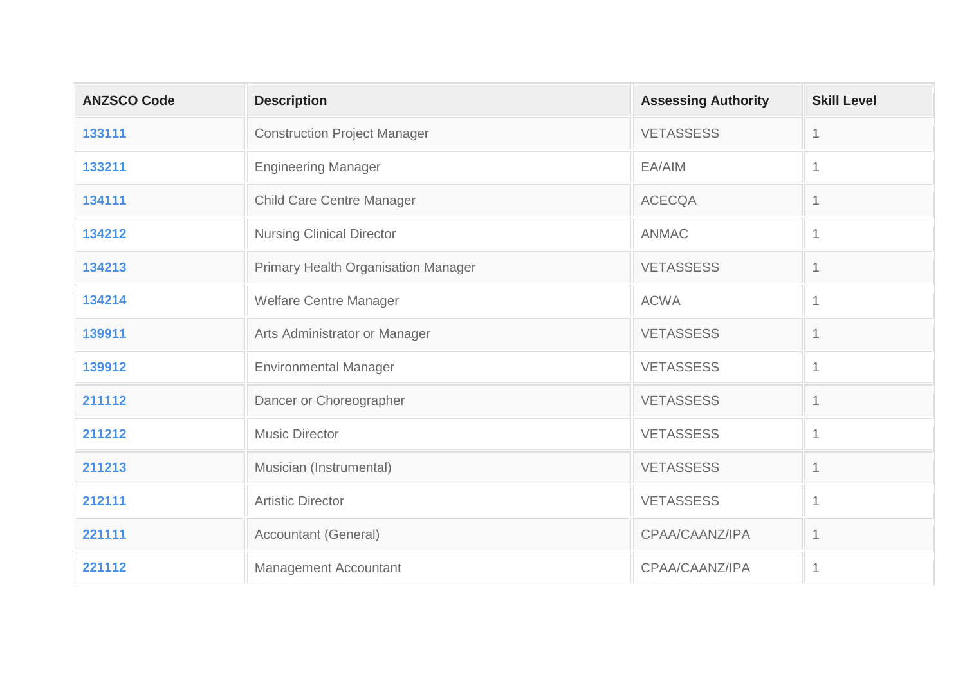| <b>ANZSCO Code</b> | <b>Description</b>                         | <b>Assessing Authority</b> | <b>Skill Level</b> |
|--------------------|--------------------------------------------|----------------------------|--------------------|
| 133111             | <b>Construction Project Manager</b>        | <b>VETASSESS</b>           | $\mathbf 1$        |
| 133211             | <b>Engineering Manager</b>                 | EA/AIM                     | $\mathbf{1}$       |
| 134111             | <b>Child Care Centre Manager</b>           | <b>ACECQA</b>              | 1                  |
| 134212             | <b>Nursing Clinical Director</b>           | <b>ANMAC</b>               | $\mathbf{1}$       |
| 134213             | <b>Primary Health Organisation Manager</b> | <b>VETASSESS</b>           | 1                  |
| 134214             | Welfare Centre Manager                     | <b>ACWA</b>                | $\mathbf{1}$       |
| 139911             | Arts Administrator or Manager              | <b>VETASSESS</b>           | 1                  |
| 139912             | <b>Environmental Manager</b>               | <b>VETASSESS</b>           | $\mathbf{1}$       |
| 211112             | Dancer or Choreographer                    | <b>VETASSESS</b>           | 1                  |
| 211212             | <b>Music Director</b>                      | <b>VETASSESS</b>           | $\mathbf{1}$       |
| 211213             | Musician (Instrumental)                    | <b>VETASSESS</b>           | $\mathbf 1$        |
| 212111             | <b>Artistic Director</b>                   | <b>VETASSESS</b>           | $\mathbf 1$        |
| 221111             | <b>Accountant (General)</b>                | CPAA/CAANZ/IPA             | 1                  |
| 221112             | Management Accountant                      | CPAA/CAANZ/IPA             | $\mathbf 1$        |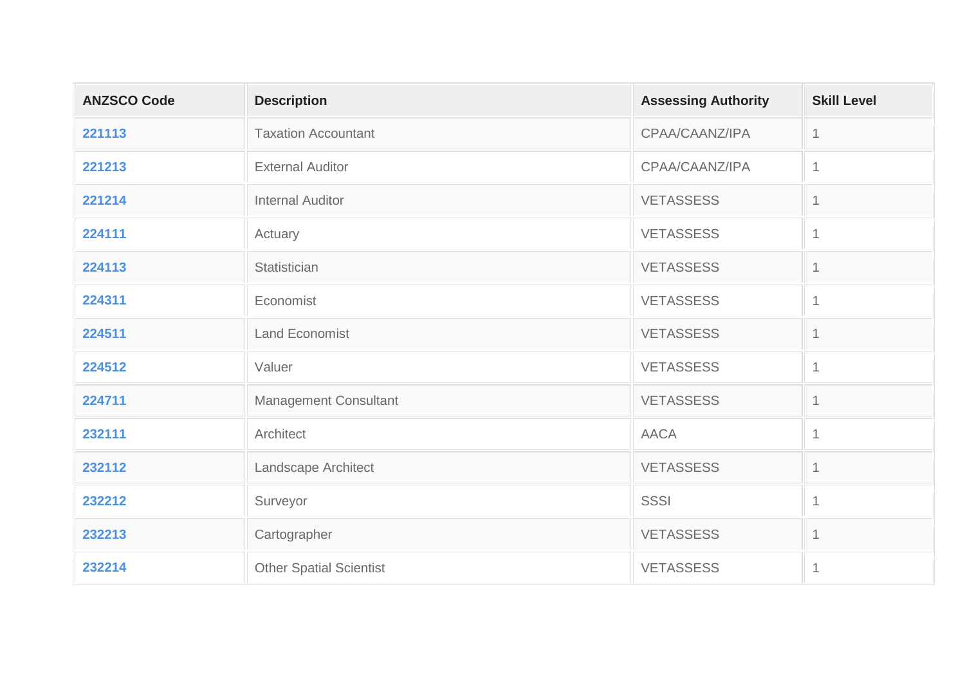| <b>ANZSCO Code</b> | <b>Description</b>             | <b>Assessing Authority</b> | <b>Skill Level</b> |
|--------------------|--------------------------------|----------------------------|--------------------|
| 221113             | <b>Taxation Accountant</b>     | CPAA/CAANZ/IPA             | $\mathbf 1$        |
| 221213             | <b>External Auditor</b>        | CPAA/CAANZ/IPA             | $\mathbf{1}$       |
| 221214             | <b>Internal Auditor</b>        | <b>VETASSESS</b>           | 1                  |
| 224111             | Actuary                        | <b>VETASSESS</b>           | $\mathbf{1}$       |
| 224113             | Statistician                   | <b>VETASSESS</b>           | 1                  |
| 224311             | Economist                      | <b>VETASSESS</b>           | $\mathbf{1}$       |
| 224511             | <b>Land Economist</b>          | <b>VETASSESS</b>           | $\mathbf 1$        |
| 224512             | Valuer                         | <b>VETASSESS</b>           | $\mathbf{1}$       |
| 224711             | <b>Management Consultant</b>   | <b>VETASSESS</b>           | 1                  |
| 232111             | Architect                      | <b>AACA</b>                | $\mathbf 1$        |
| 232112             | Landscape Architect            | <b>VETASSESS</b>           | $\mathbf 1$        |
| 232212             | Surveyor                       | <b>SSSI</b>                | $\mathbf{1}$       |
| 232213             | Cartographer                   | <b>VETASSESS</b>           | $\mathbf 1$        |
| 232214             | <b>Other Spatial Scientist</b> | <b>VETASSESS</b>           | $\mathbf{1}$       |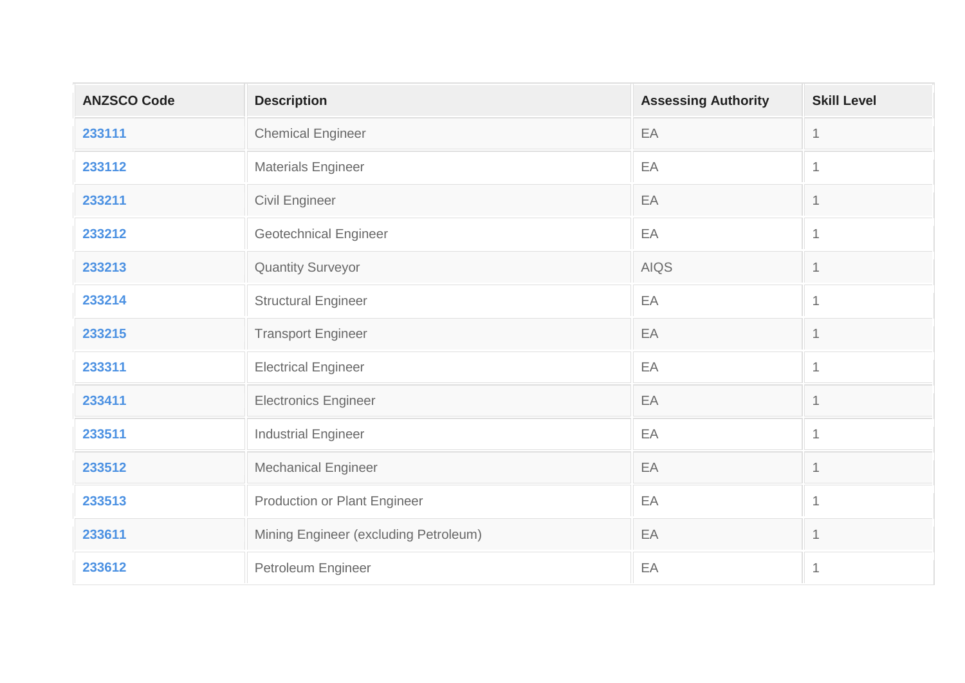| <b>ANZSCO Code</b> | <b>Description</b>                    | <b>Assessing Authority</b> | <b>Skill Level</b> |
|--------------------|---------------------------------------|----------------------------|--------------------|
| 233111             | <b>Chemical Engineer</b>              | EA                         | $\mathbf{1}$       |
| 233112             | <b>Materials Engineer</b>             | EA                         | $\mathbf{1}$       |
| 233211             | Civil Engineer                        | EA                         | $\mathbf 1$        |
| 233212             | <b>Geotechnical Engineer</b>          | EA                         | $\mathbf{1}$       |
| 233213             | <b>Quantity Surveyor</b>              | <b>AIQS</b>                | $\mathbf 1$        |
| 233214             | <b>Structural Engineer</b>            | EA                         | $\mathbf{1}$       |
| 233215             | <b>Transport Engineer</b>             | EA                         | $\mathbf{1}$       |
| 233311             | <b>Electrical Engineer</b>            | EA                         | $\mathbf{1}$       |
| 233411             | <b>Electronics Engineer</b>           | EA                         | $\mathbf 1$        |
| 233511             | <b>Industrial Engineer</b>            | EA                         | $\mathbf{1}$       |
| 233512             | <b>Mechanical Engineer</b>            | EA                         | $\mathbf{1}$       |
| 233513             | <b>Production or Plant Engineer</b>   | EA                         | $\mathbf{1}$       |
| 233611             | Mining Engineer (excluding Petroleum) | EA                         | $\mathbf{1}$       |
| 233612             | Petroleum Engineer                    | EA                         | $\mathbf{1}$       |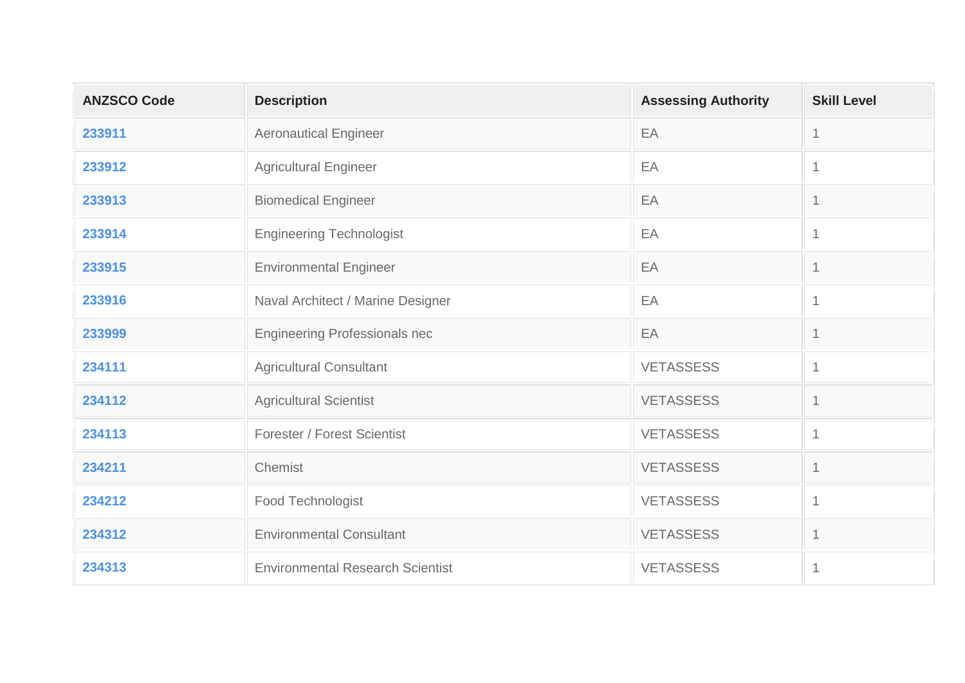| <b>ANZSCO Code</b> | <b>Description</b>                      | <b>Assessing Authority</b> | <b>Skill Level</b>       |
|--------------------|-----------------------------------------|----------------------------|--------------------------|
| 233911             | <b>Aeronautical Engineer</b>            | EA                         | $\mathbf 1$              |
| 233912             | <b>Agricultural Engineer</b>            | EA                         | $\mathbf{1}$             |
| 233913             | <b>Biomedical Engineer</b>              | EA                         | 1                        |
| 233914             | <b>Engineering Technologist</b>         | EA                         | 1                        |
| 233915             | <b>Environmental Engineer</b>           | EA                         | $\overline{\mathcal{L}}$ |
| 233916             | Naval Architect / Marine Designer       | EA                         | $\mathbf{1}$             |
| 233999             | <b>Engineering Professionals nec</b>    | EA                         | 1                        |
| 234111             | <b>Agricultural Consultant</b>          | <b>VETASSESS</b>           | $\mathbf{1}$             |
| 234112             | <b>Agricultural Scientist</b>           | <b>VETASSESS</b>           | 1                        |
| 234113             | <b>Forester / Forest Scientist</b>      | <b>VETASSESS</b>           | $\mathbf 1$              |
| 234211             | Chemist                                 | <b>VETASSESS</b>           | $\mathbf 1$              |
| 234212             | Food Technologist                       | <b>VETASSESS</b>           | $\mathbf{1}$             |
| 234312             | <b>Environmental Consultant</b>         | <b>VETASSESS</b>           | $\mathbf 1$              |
| 234313             | <b>Environmental Research Scientist</b> | <b>VETASSESS</b>           | $\mathbf{1}$             |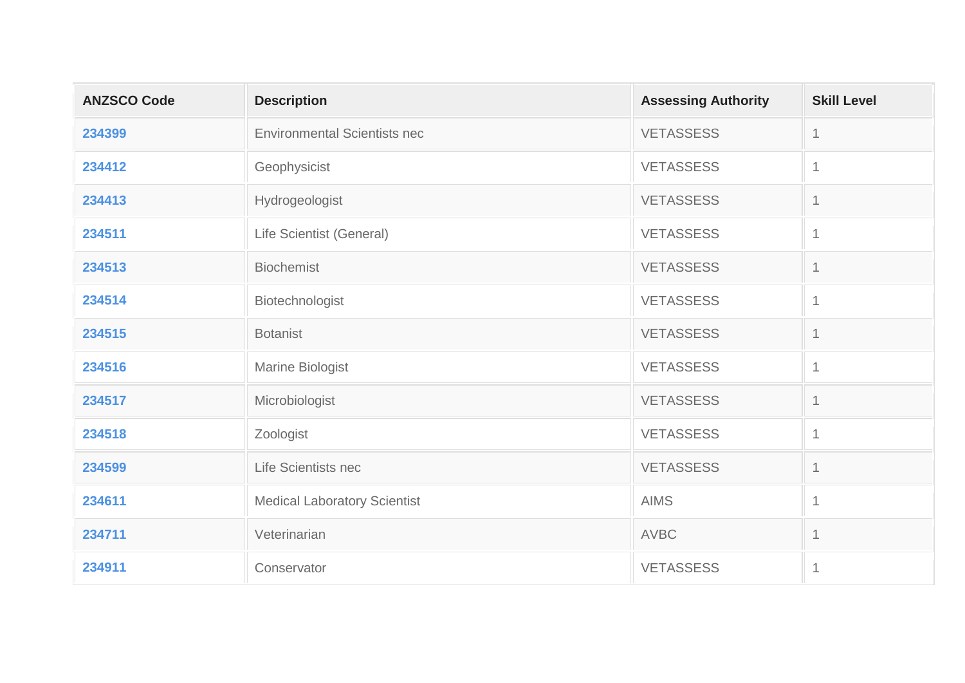| <b>ANZSCO Code</b> | <b>Description</b>                  | <b>Assessing Authority</b> | <b>Skill Level</b> |
|--------------------|-------------------------------------|----------------------------|--------------------|
| 234399             | <b>Environmental Scientists nec</b> | <b>VETASSESS</b>           | 1                  |
| 234412             | Geophysicist                        | <b>VETASSESS</b>           | 1                  |
| 234413             | Hydrogeologist                      | <b>VETASSESS</b>           |                    |
| 234511             | Life Scientist (General)            | <b>VETASSESS</b>           | 1                  |
| 234513             | <b>Biochemist</b>                   | <b>VETASSESS</b>           | 1                  |
| 234514             | Biotechnologist                     | <b>VETASSESS</b>           | 1                  |
| 234515             | <b>Botanist</b>                     | <b>VETASSESS</b>           | $\mathbf 1$        |
| 234516             | Marine Biologist                    | <b>VETASSESS</b>           | $\overline{1}$     |
| 234517             | Microbiologist                      | <b>VETASSESS</b>           | 1                  |
| 234518             | Zoologist                           | <b>VETASSESS</b>           | $\overline{1}$     |
| 234599             | Life Scientists nec                 | <b>VETASSESS</b>           | $\mathbf 1$        |
| 234611             | <b>Medical Laboratory Scientist</b> | <b>AIMS</b>                | $\mathbf 1$        |
| 234711             | Veterinarian                        | <b>AVBC</b>                | 1                  |
| 234911             | Conservator                         | <b>VETASSESS</b>           | 1                  |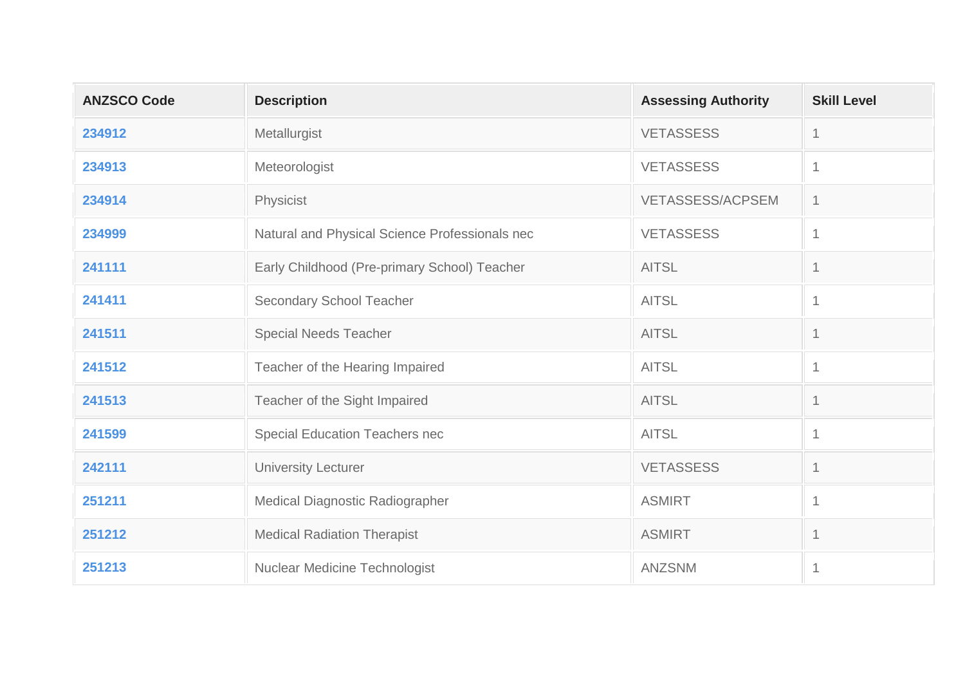| <b>ANZSCO Code</b> | <b>Description</b>                             | <b>Assessing Authority</b> | <b>Skill Level</b> |
|--------------------|------------------------------------------------|----------------------------|--------------------|
| 234912             | Metallurgist                                   | <b>VETASSESS</b>           | -1                 |
| 234913             | Meteorologist                                  | <b>VETASSESS</b>           | 1                  |
| 234914             | Physicist                                      | <b>VETASSESS/ACPSEM</b>    | 1                  |
| 234999             | Natural and Physical Science Professionals nec | <b>VETASSESS</b>           | 1                  |
| 241111             | Early Childhood (Pre-primary School) Teacher   | <b>AITSL</b>               |                    |
| 241411             | Secondary School Teacher                       | <b>AITSL</b>               | 1                  |
| 241511             | <b>Special Needs Teacher</b>                   | <b>AITSL</b>               |                    |
| 241512             | Teacher of the Hearing Impaired                | <b>AITSL</b>               | $\overline{1}$     |
| 241513             | Teacher of the Sight Impaired                  | <b>AITSL</b>               |                    |
| 241599             | <b>Special Education Teachers nec</b>          | <b>AITSL</b>               | 1                  |
| 242111             | University Lecturer                            | <b>VETASSESS</b>           | $\mathbf 1$        |
| 251211             | Medical Diagnostic Radiographer                | <b>ASMIRT</b>              | 1                  |
| 251212             | <b>Medical Radiation Therapist</b>             | <b>ASMIRT</b>              |                    |
| 251213             | <b>Nuclear Medicine Technologist</b>           | <b>ANZSNM</b>              | 1                  |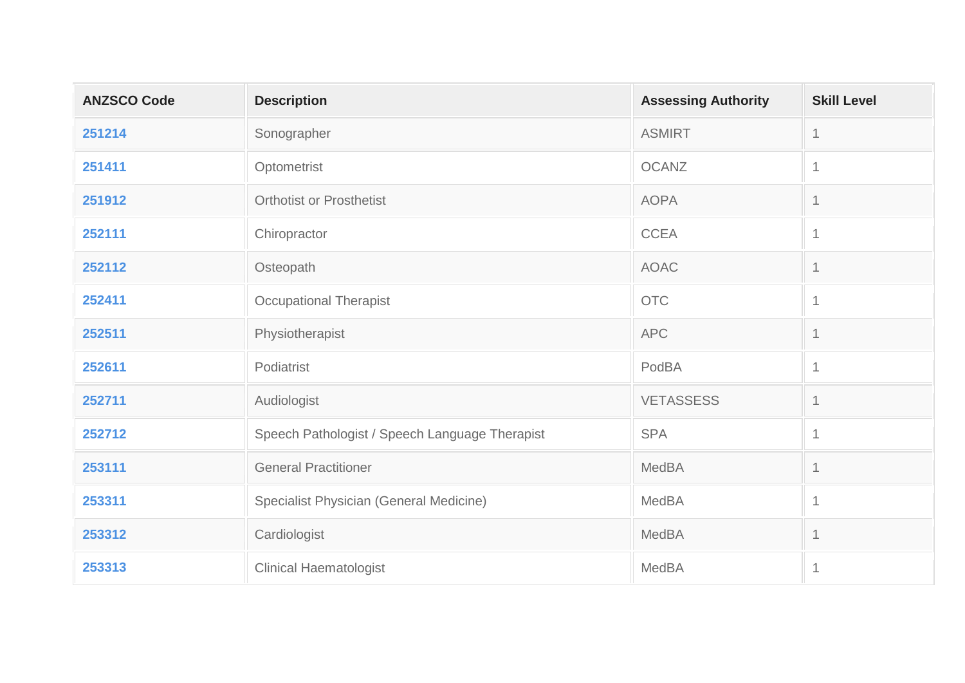| <b>ANZSCO Code</b> | <b>Description</b>                             | <b>Assessing Authority</b> | <b>Skill Level</b> |
|--------------------|------------------------------------------------|----------------------------|--------------------|
| 251214             | Sonographer                                    | <b>ASMIRT</b>              | $\mathbf{1}$       |
| 251411             | Optometrist                                    | <b>OCANZ</b>               | $\mathbf{1}$       |
| 251912             | <b>Orthotist or Prosthetist</b>                | <b>AOPA</b>                | $\mathbf 1$        |
| 252111             | Chiropractor                                   | <b>CCEA</b>                | $\mathbf{1}$       |
| 252112             | Osteopath                                      | <b>AOAC</b>                | $\mathbf 1$        |
| 252411             | <b>Occupational Therapist</b>                  | <b>OTC</b>                 | $\mathbf{1}$       |
| 252511             | Physiotherapist                                | <b>APC</b>                 | $\mathbf{1}$       |
| 252611             | Podiatrist                                     | PodBA                      | $\mathbf{1}$       |
| 252711             | Audiologist                                    | <b>VETASSESS</b>           | $\mathbf 1$        |
| 252712             | Speech Pathologist / Speech Language Therapist | <b>SPA</b>                 | $\mathbf{1}$       |
| 253111             | <b>General Practitioner</b>                    | <b>MedBA</b>               | $\mathbf{1}$       |
| 253311             | Specialist Physician (General Medicine)        | MedBA                      | $\mathbf{1}$       |
| 253312             | Cardiologist                                   | <b>MedBA</b>               | $\mathbf{1}$       |
| 253313             | <b>Clinical Haematologist</b>                  | <b>MedBA</b>               | $\mathbf{1}$       |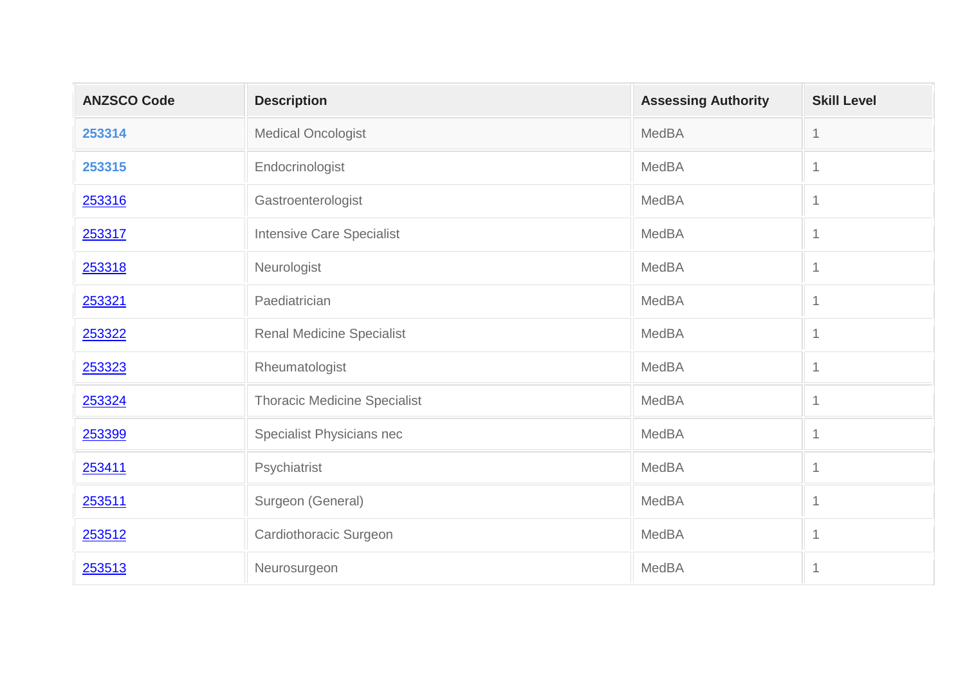| <b>ANZSCO Code</b> | <b>Description</b>                  | <b>Assessing Authority</b> | <b>Skill Level</b> |
|--------------------|-------------------------------------|----------------------------|--------------------|
| 253314             | <b>Medical Oncologist</b>           | <b>MedBA</b>               | $\mathbf 1$        |
| 253315             | Endocrinologist                     | <b>MedBA</b>               | $\mathbf 1$        |
| 253316             | Gastroenterologist                  | MedBA                      | $\mathbf 1$        |
| 253317             | <b>Intensive Care Specialist</b>    | MedBA                      | $\mathbf 1$        |
| 253318             | Neurologist                         | MedBA                      | $\mathbf 1$        |
| 253321             | Paediatrician                       | MedBA                      | $\mathbf 1$        |
| 253322             | <b>Renal Medicine Specialist</b>    | MedBA                      | $\mathbf{1}$       |
| 253323             | Rheumatologist                      | <b>MedBA</b>               | $\mathbf{1}$       |
| 253324             | <b>Thoracic Medicine Specialist</b> | <b>MedBA</b>               | $\mathbf 1$        |
| 253399             | Specialist Physicians nec           | <b>MedBA</b>               | $\mathbf{1}$       |
| 253411             | Psychiatrist                        | MedBA                      | $\mathbf 1$        |
| 253511             | Surgeon (General)                   | <b>MedBA</b>               | $\mathbf{1}$       |
| 253512             | Cardiothoracic Surgeon              | MedBA                      | $\mathbf 1$        |
| 253513             | Neurosurgeon                        | MedBA                      | $\mathbf 1$        |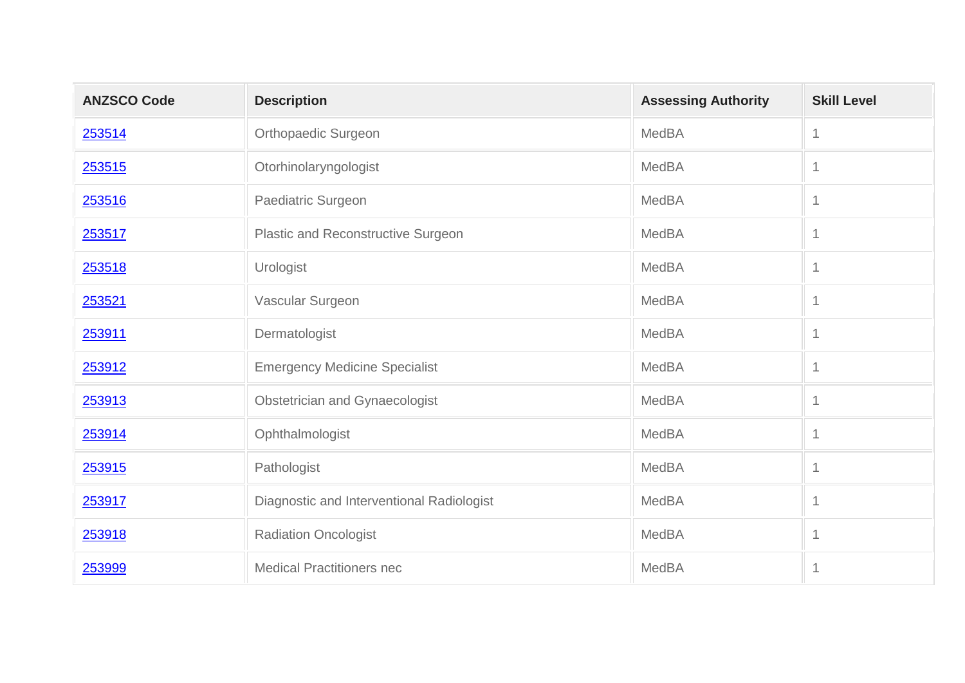| <b>ANZSCO Code</b> | <b>Description</b>                        | <b>Assessing Authority</b> | <b>Skill Level</b> |
|--------------------|-------------------------------------------|----------------------------|--------------------|
| 253514             | <b>Orthopaedic Surgeon</b>                | MedBA                      | $\mathbf 1$        |
| 253515             | Otorhinolaryngologist                     | <b>MedBA</b>               | $\mathbf 1$        |
| 253516             | Paediatric Surgeon                        | MedBA                      | $\mathbf 1$        |
| 253517             | Plastic and Reconstructive Surgeon        | <b>MedBA</b>               | $\mathbf 1$        |
| 253518             | Urologist                                 | <b>MedBA</b>               | $\mathbf 1$        |
| 253521             | Vascular Surgeon                          | <b>MedBA</b>               | $\mathbf 1$        |
| 253911             | Dermatologist                             | MedBA                      | $\mathbf{1}$       |
| 253912             | <b>Emergency Medicine Specialist</b>      | <b>MedBA</b>               | $\mathbf 1$        |
| 253913             | Obstetrician and Gynaecologist            | <b>MedBA</b>               | $\mathbf 1$        |
| 253914             | Ophthalmologist                           | <b>MedBA</b>               | $\mathbf 1$        |
| 253915             | Pathologist                               | <b>MedBA</b>               | $\mathbf 1$        |
| 253917             | Diagnostic and Interventional Radiologist | <b>MedBA</b>               | $\mathbf{1}$       |
| 253918             | Radiation Oncologist                      | <b>MedBA</b>               | $\mathbf 1$        |
| 253999             | <b>Medical Practitioners nec</b>          | <b>MedBA</b>               | $\mathbf 1$        |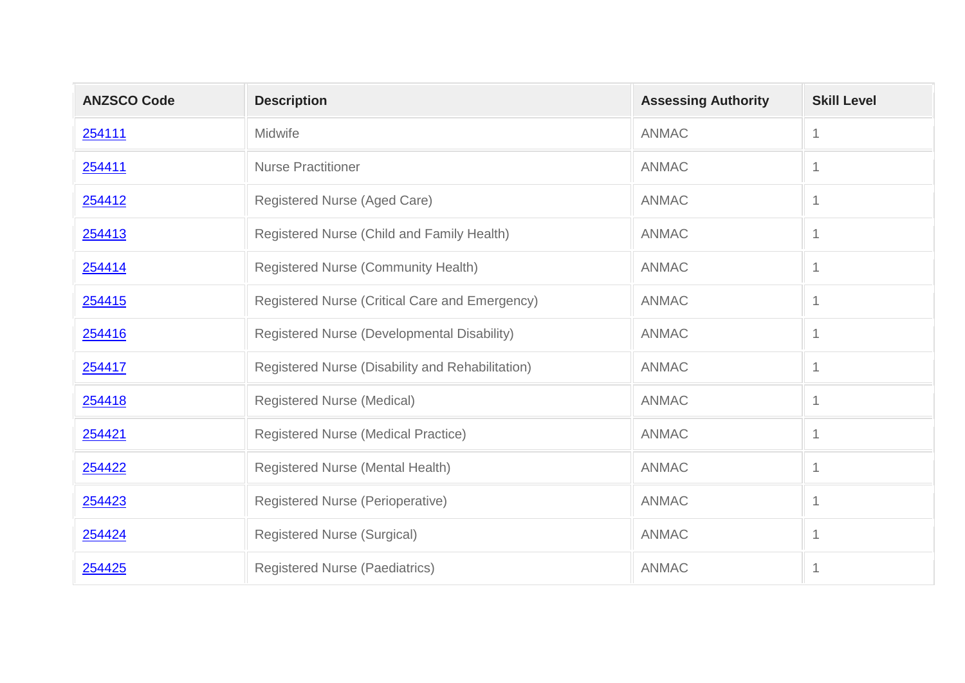| <b>ANZSCO Code</b> | <b>Description</b>                               | <b>Assessing Authority</b> | <b>Skill Level</b> |
|--------------------|--------------------------------------------------|----------------------------|--------------------|
| 254111             | Midwife                                          | <b>ANMAC</b>               | -1                 |
| 254411             | <b>Nurse Practitioner</b>                        | <b>ANMAC</b>               | -1                 |
| 254412             | Registered Nurse (Aged Care)                     | <b>ANMAC</b>               |                    |
| 254413             | Registered Nurse (Child and Family Health)       | <b>ANMAC</b>               | 1                  |
| 254414             | Registered Nurse (Community Health)              | <b>ANMAC</b>               |                    |
| 254415             | Registered Nurse (Critical Care and Emergency)   | <b>ANMAC</b>               | 1                  |
| 254416             | Registered Nurse (Developmental Disability)      | <b>ANMAC</b>               |                    |
| 254417             | Registered Nurse (Disability and Rehabilitation) | <b>ANMAC</b>               | 1                  |
| 254418             | <b>Registered Nurse (Medical)</b>                | <b>ANMAC</b>               | 1                  |
| 254421             | Registered Nurse (Medical Practice)              | <b>ANMAC</b>               | $\mathbf 1$        |
| 254422             | Registered Nurse (Mental Health)                 | <b>ANMAC</b>               | 1                  |
| 254423             | <b>Registered Nurse (Perioperative)</b>          | <b>ANMAC</b>               | 1                  |
| 254424             | <b>Registered Nurse (Surgical)</b>               | <b>ANMAC</b>               | 1                  |
| 254425             | <b>Registered Nurse (Paediatrics)</b>            | <b>ANMAC</b>               | 1                  |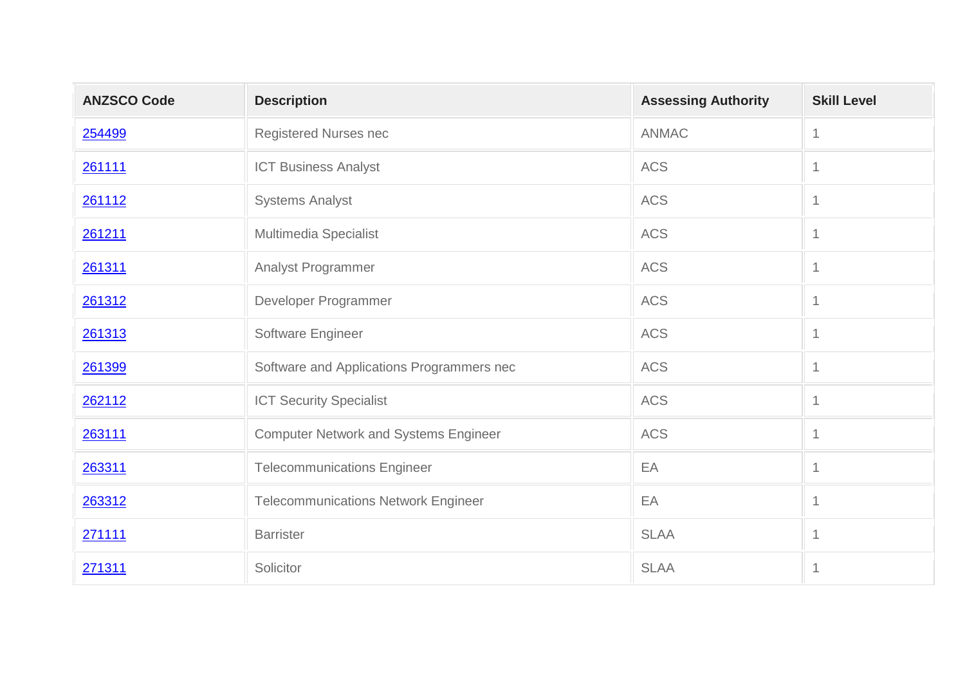| <b>ANZSCO Code</b> | <b>Description</b>                           | <b>Assessing Authority</b> | <b>Skill Level</b> |
|--------------------|----------------------------------------------|----------------------------|--------------------|
| 254499             | Registered Nurses nec                        | <b>ANMAC</b>               | $\mathbf{1}$       |
| 261111             | <b>ICT Business Analyst</b>                  | <b>ACS</b>                 | $\mathbf 1$        |
| 261112             | <b>Systems Analyst</b>                       | <b>ACS</b>                 | $\mathbf 1$        |
| 261211             | Multimedia Specialist                        | <b>ACS</b>                 | $\mathbf 1$        |
| 261311             | <b>Analyst Programmer</b>                    | <b>ACS</b>                 | $\mathbf 1$        |
| 261312             | Developer Programmer                         | <b>ACS</b>                 | $\mathbf 1$        |
| 261313             | Software Engineer                            | <b>ACS</b>                 | $\mathbf 1$        |
| 261399             | Software and Applications Programmers nec    | <b>ACS</b>                 | $\mathbf{1}$       |
| 262112             | <b>ICT Security Specialist</b>               | <b>ACS</b>                 | $\mathbf 1$        |
| 263111             | <b>Computer Network and Systems Engineer</b> | <b>ACS</b>                 | $\mathbf{1}$       |
| 263311             | <b>Telecommunications Engineer</b>           | EA                         | $\mathbf 1$        |
| 263312             | <b>Telecommunications Network Engineer</b>   | EA                         | $\mathbf{1}$       |
| 271111             | <b>Barrister</b>                             | <b>SLAA</b>                | $\mathbf 1$        |
| 271311             | Solicitor                                    | <b>SLAA</b>                | $\mathbf 1$        |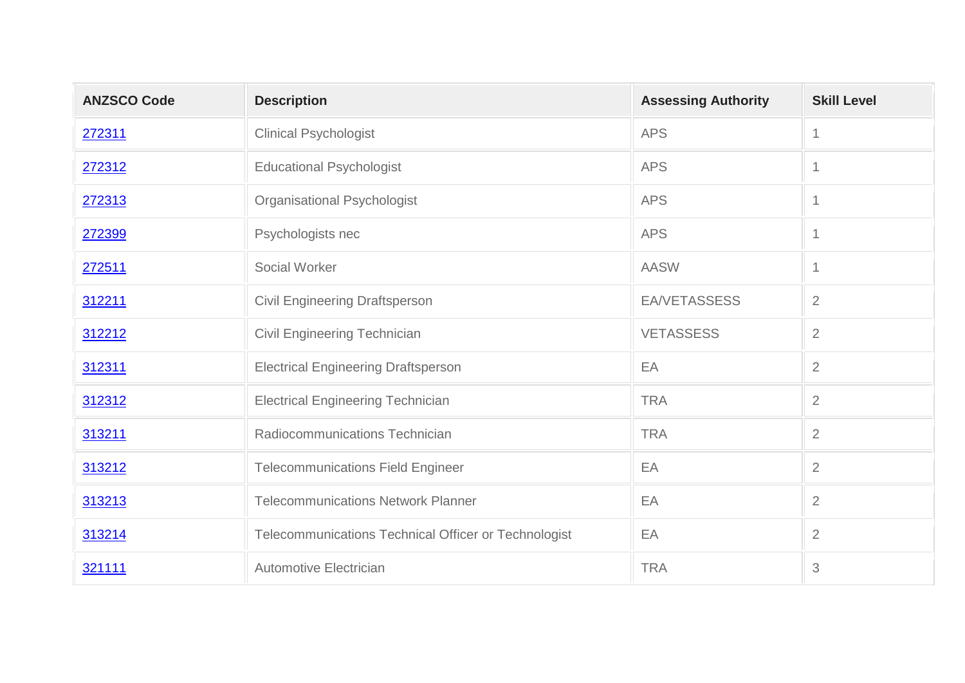| <b>ANZSCO Code</b> | <b>Description</b>                                   | <b>Assessing Authority</b> | <b>Skill Level</b> |
|--------------------|------------------------------------------------------|----------------------------|--------------------|
| 272311             | <b>Clinical Psychologist</b>                         | <b>APS</b>                 | $\mathbf{1}$       |
| 272312             | <b>Educational Psychologist</b>                      | <b>APS</b>                 | $\mathbf{1}$       |
| 272313             | Organisational Psychologist                          | <b>APS</b>                 | $\mathbf 1$        |
| 272399             | Psychologists nec                                    | <b>APS</b>                 | $\mathbf{1}$       |
| 272511             | Social Worker                                        | <b>AASW</b>                | $\mathbf{1}$       |
| 312211             | <b>Civil Engineering Draftsperson</b>                | <b>EA/VETASSESS</b>        | $\overline{2}$     |
| 312212             | <b>Civil Engineering Technician</b>                  | <b>VETASSESS</b>           | $\overline{2}$     |
| 312311             | <b>Electrical Engineering Draftsperson</b>           | EA                         | 2                  |
| 312312             | <b>Electrical Engineering Technician</b>             | <b>TRA</b>                 | $\overline{2}$     |
| 313211             | Radiocommunications Technician                       | <b>TRA</b>                 | $\overline{2}$     |
| 313212             | <b>Telecommunications Field Engineer</b>             | EA                         | $\overline{2}$     |
| 313213             | <b>Telecommunications Network Planner</b>            | EA                         | 2                  |
| 313214             | Telecommunications Technical Officer or Technologist | EA                         | $\overline{2}$     |
| 321111             | <b>Automotive Electrician</b>                        | <b>TRA</b>                 | 3                  |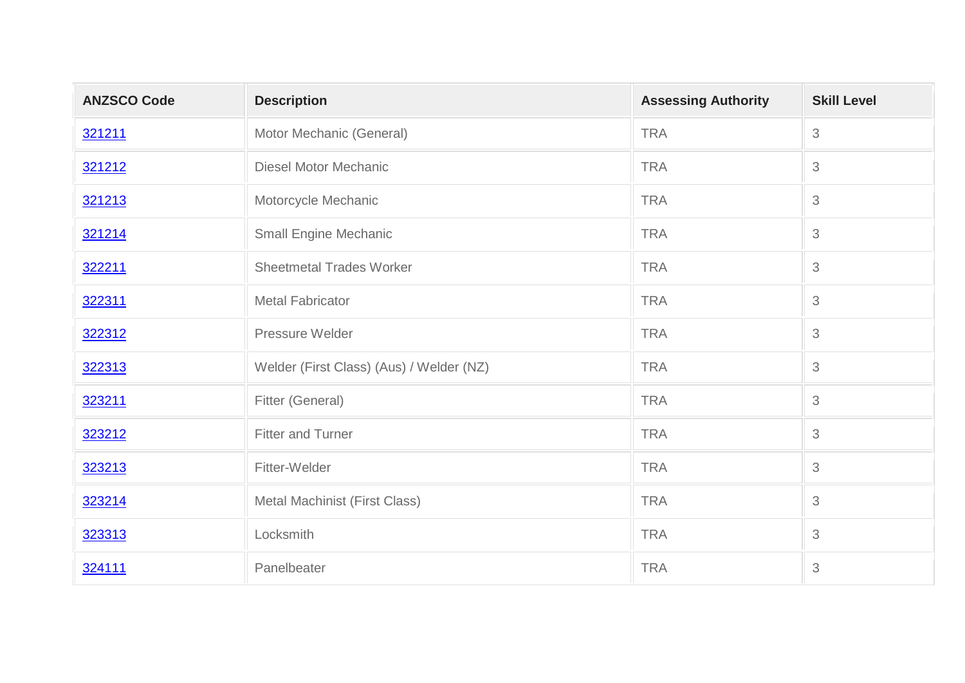| <b>ANZSCO Code</b> | <b>Description</b>                       | <b>Assessing Authority</b> | <b>Skill Level</b> |
|--------------------|------------------------------------------|----------------------------|--------------------|
| 321211             | Motor Mechanic (General)                 | <b>TRA</b>                 | $\mathfrak{S}$     |
| 321212             | <b>Diesel Motor Mechanic</b>             | <b>TRA</b>                 | 3                  |
| 321213             | Motorcycle Mechanic                      | <b>TRA</b>                 | 3                  |
| 321214             | <b>Small Engine Mechanic</b>             | <b>TRA</b>                 | 3                  |
| 322211             | <b>Sheetmetal Trades Worker</b>          | <b>TRA</b>                 | $\mathfrak{S}$     |
| 322311             | <b>Metal Fabricator</b>                  | <b>TRA</b>                 | 3                  |
| 322312             | Pressure Welder                          | <b>TRA</b>                 | 3                  |
| 322313             | Welder (First Class) (Aus) / Welder (NZ) | <b>TRA</b>                 | 3                  |
| 323211             | Fitter (General)                         | <b>TRA</b>                 | $\mathfrak 3$      |
| 323212             | <b>Fitter and Turner</b>                 | <b>TRA</b>                 | 3                  |
| 323213             | Fitter-Welder                            | <b>TRA</b>                 | 3                  |
| 323214             | Metal Machinist (First Class)            | <b>TRA</b>                 | 3                  |
| 323313             | Locksmith                                | <b>TRA</b>                 | 3                  |
| 324111             | Panelbeater                              | <b>TRA</b>                 | $\mathfrak{S}$     |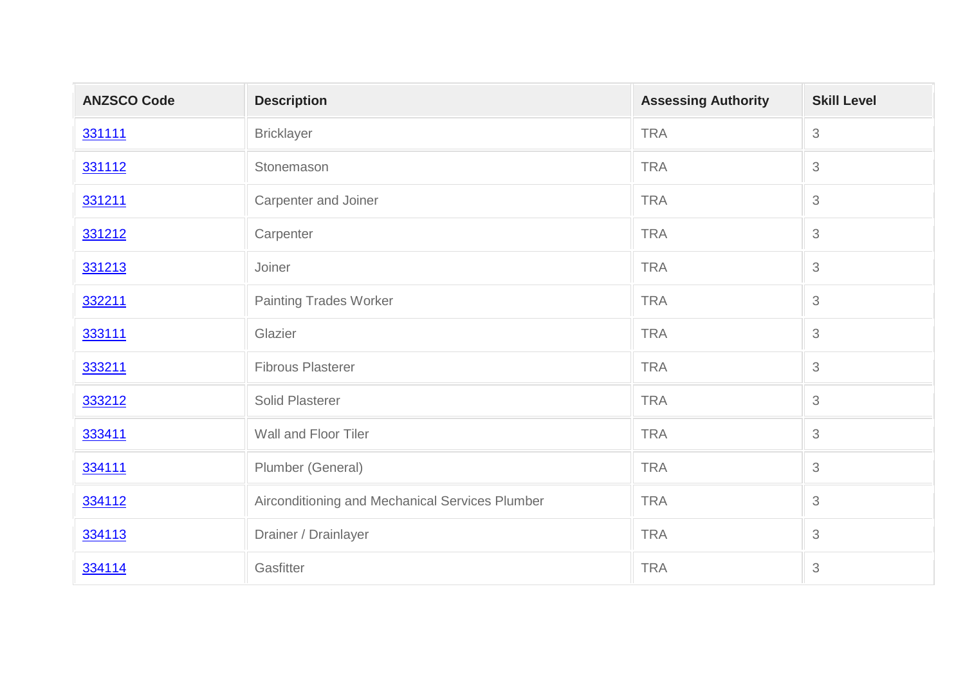| <b>ANZSCO Code</b> | <b>Description</b>                              | <b>Assessing Authority</b> | <b>Skill Level</b> |
|--------------------|-------------------------------------------------|----------------------------|--------------------|
| 331111             | <b>Bricklayer</b>                               | <b>TRA</b>                 | 3                  |
| 331112             | Stonemason                                      | <b>TRA</b>                 | 3                  |
| 331211             | Carpenter and Joiner                            | <b>TRA</b>                 | 3                  |
| 331212             | Carpenter                                       | <b>TRA</b>                 | 3                  |
| 331213             | Joiner                                          | <b>TRA</b>                 | 3                  |
| 332211             | <b>Painting Trades Worker</b>                   | <b>TRA</b>                 | 3                  |
| 333111             | Glazier                                         | <b>TRA</b>                 | 3                  |
| 333211             | <b>Fibrous Plasterer</b>                        | <b>TRA</b>                 | 3                  |
| 333212             | <b>Solid Plasterer</b>                          | <b>TRA</b>                 | 3                  |
| 333411             | Wall and Floor Tiler                            | <b>TRA</b>                 | 3                  |
| 334111             | Plumber (General)                               | <b>TRA</b>                 | 3                  |
| 334112             | Airconditioning and Mechanical Services Plumber | <b>TRA</b>                 | 3                  |
| 334113             | Drainer / Drainlayer                            | <b>TRA</b>                 | 3                  |
| 334114             | Gasfitter                                       | <b>TRA</b>                 | 3                  |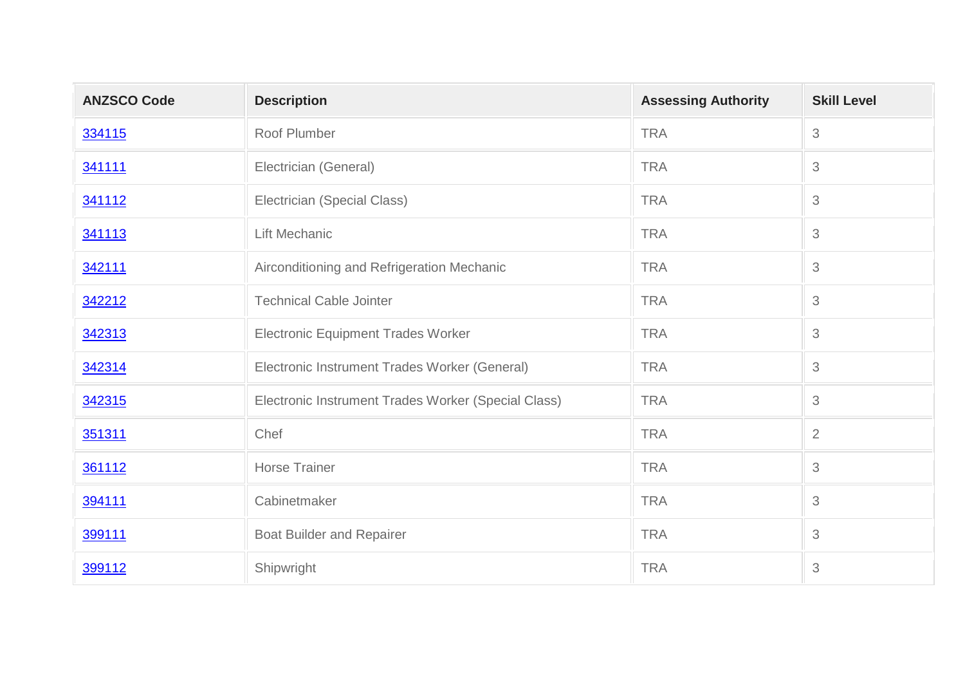| <b>ANZSCO Code</b> | <b>Description</b>                                  | <b>Assessing Authority</b> | <b>Skill Level</b> |
|--------------------|-----------------------------------------------------|----------------------------|--------------------|
| 334115             | Roof Plumber                                        | <b>TRA</b>                 | $\mathfrak{S}$     |
| 341111             | Electrician (General)                               | <b>TRA</b>                 | 3                  |
| 341112             | Electrician (Special Class)                         | <b>TRA</b>                 | 3                  |
| 341113             | Lift Mechanic                                       | <b>TRA</b>                 | 3                  |
| 342111             | Airconditioning and Refrigeration Mechanic          | <b>TRA</b>                 | 3                  |
| 342212             | <b>Technical Cable Jointer</b>                      | <b>TRA</b>                 | 3                  |
| 342313             | <b>Electronic Equipment Trades Worker</b>           | <b>TRA</b>                 | $\mathfrak 3$      |
| 342314             | Electronic Instrument Trades Worker (General)       | <b>TRA</b>                 | 3                  |
| 342315             | Electronic Instrument Trades Worker (Special Class) | <b>TRA</b>                 | 3                  |
| 351311             | Chef                                                | <b>TRA</b>                 | $\overline{2}$     |
| 361112             | <b>Horse Trainer</b>                                | <b>TRA</b>                 | 3                  |
| 394111             | Cabinetmaker                                        | <b>TRA</b>                 | 3                  |
| 399111             | <b>Boat Builder and Repairer</b>                    | <b>TRA</b>                 | 3                  |
| 399112             | Shipwright                                          | <b>TRA</b>                 | 3                  |